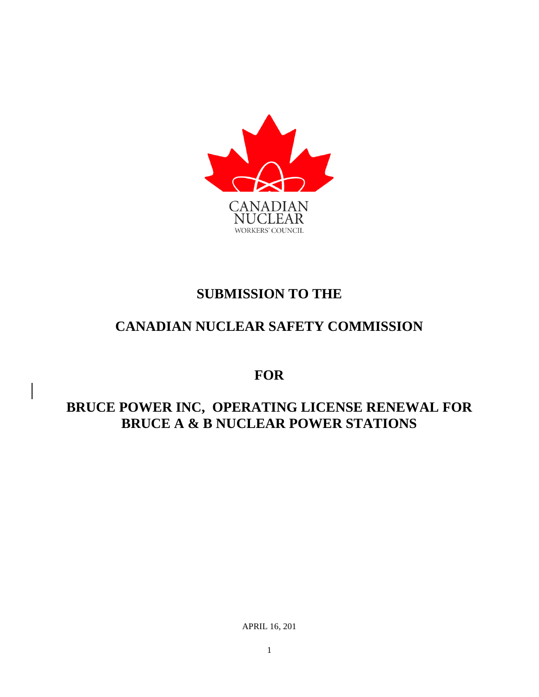

## **SUBMISSION TO THE**

# **CANADIAN NUCLEAR SAFETY COMMISSION**

**FOR** 

### **BRUCE POWER INC, OPERATING LICENSE RENEWAL FOR BRUCE A & B NUCLEAR POWER STATIONS**

APRIL 16, 201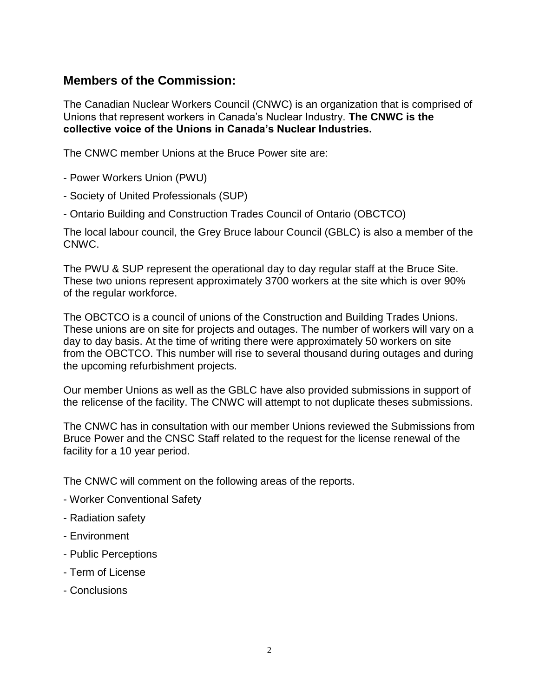#### **Members of the Commission:**

The Canadian Nuclear Workers Council (CNWC) is an organization that is comprised of Unions that represent workers in Canada's Nuclear Industry. **The CNWC is the collective voice of the Unions in Canada's Nuclear Industries.**

The CNWC member Unions at the Bruce Power site are:

- Power Workers Union (PWU)
- Society of United Professionals (SUP)
- Ontario Building and Construction Trades Council of Ontario (OBCTCO)

The local labour council, the Grey Bruce labour Council (GBLC) is also a member of the CNWC.

The PWU & SUP represent the operational day to day regular staff at the Bruce Site. These two unions represent approximately 3700 workers at the site which is over 90% of the regular workforce.

The OBCTCO is a council of unions of the Construction and Building Trades Unions. These unions are on site for projects and outages. The number of workers will vary on a day to day basis. At the time of writing there were approximately 50 workers on site from the OBCTCO. This number will rise to several thousand during outages and during the upcoming refurbishment projects.

Our member Unions as well as the GBLC have also provided submissions in support of the relicense of the facility. The CNWC will attempt to not duplicate theses submissions.

The CNWC has in consultation with our member Unions reviewed the Submissions from Bruce Power and the CNSC Staff related to the request for the license renewal of the facility for a 10 year period.

The CNWC will comment on the following areas of the reports.

- Worker Conventional Safety
- Radiation safety
- Environment
- Public Perceptions
- Term of License
- Conclusions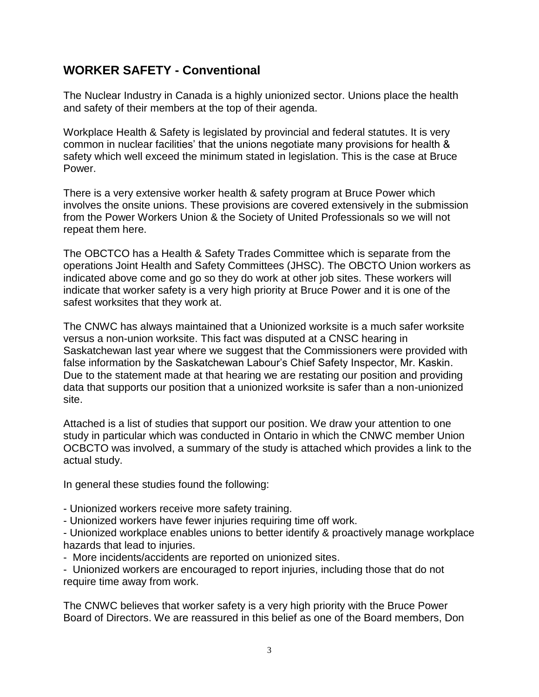### **WORKER SAFETY - Conventional**

The Nuclear Industry in Canada is a highly unionized sector. Unions place the health and safety of their members at the top of their agenda.

Workplace Health & Safety is legislated by provincial and federal statutes. It is very common in nuclear facilities' that the unions negotiate many provisions for health & safety which well exceed the minimum stated in legislation. This is the case at Bruce Power.

There is a very extensive worker health & safety program at Bruce Power which involves the onsite unions. These provisions are covered extensively in the submission from the Power Workers Union & the Society of United Professionals so we will not repeat them here.

The OBCTCO has a Health & Safety Trades Committee which is separate from the operations Joint Health and Safety Committees (JHSC). The OBCTO Union workers as indicated above come and go so they do work at other job sites. These workers will indicate that worker safety is a very high priority at Bruce Power and it is one of the safest worksites that they work at.

The CNWC has always maintained that a Unionized worksite is a much safer worksite versus a non-union worksite. This fact was disputed at a CNSC hearing in Saskatchewan last year where we suggest that the Commissioners were provided with false information by the Saskatchewan Labour's Chief Safety Inspector, Mr. Kaskin. Due to the statement made at that hearing we are restating our position and providing data that supports our position that a unionized worksite is safer than a non-unionized site.

Attached is a list of studies that support our position. We draw your attention to one study in particular which was conducted in Ontario in which the CNWC member Union OCBCTO was involved, a summary of the study is attached which provides a link to the actual study.

In general these studies found the following:

- Unionized workers receive more safety training.
- Unionized workers have fewer injuries requiring time off work.

- Unionized workplace enables unions to better identify & proactively manage workplace hazards that lead to injuries.

- More incidents/accidents are reported on unionized sites.

- Unionized workers are encouraged to report injuries, including those that do not require time away from work.

The CNWC believes that worker safety is a very high priority with the Bruce Power Board of Directors. We are reassured in this belief as one of the Board members, Don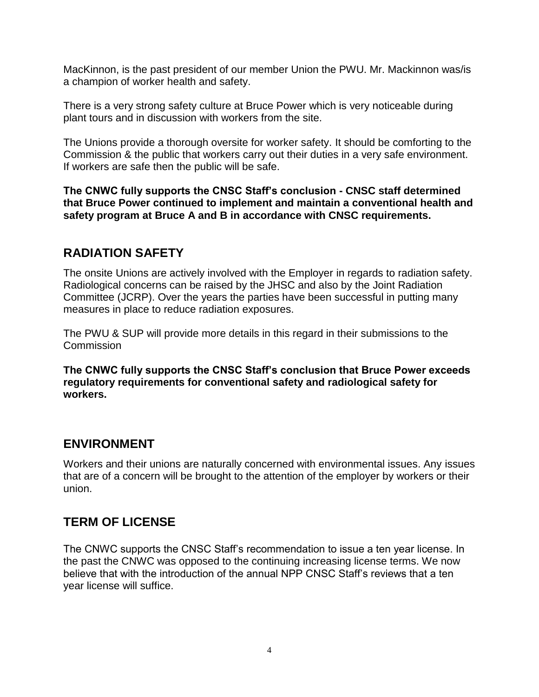MacKinnon, is the past president of our member Union the PWU. Mr. Mackinnon was/is a champion of worker health and safety.

There is a very strong safety culture at Bruce Power which is very noticeable during plant tours and in discussion with workers from the site.

The Unions provide a thorough oversite for worker safety. It should be comforting to the Commission & the public that workers carry out their duties in a very safe environment. If workers are safe then the public will be safe.

**The CNWC fully supports the CNSC Staff's conclusion - CNSC staff determined that Bruce Power continued to implement and maintain a conventional health and safety program at Bruce A and B in accordance with CNSC requirements.**

#### **RADIATION SAFETY**

The onsite Unions are actively involved with the Employer in regards to radiation safety. Radiological concerns can be raised by the JHSC and also by the Joint Radiation Committee (JCRP). Over the years the parties have been successful in putting many measures in place to reduce radiation exposures.

The PWU & SUP will provide more details in this regard in their submissions to the **Commission** 

**The CNWC fully supports the CNSC Staff's conclusion that Bruce Power exceeds regulatory requirements for conventional safety and radiological safety for workers.**

#### **ENVIRONMENT**

Workers and their unions are naturally concerned with environmental issues. Any issues that are of a concern will be brought to the attention of the employer by workers or their union.

#### **TERM OF LICENSE**

The CNWC supports the CNSC Staff's recommendation to issue a ten year license. In the past the CNWC was opposed to the continuing increasing license terms. We now believe that with the introduction of the annual NPP CNSC Staff's reviews that a ten year license will suffice.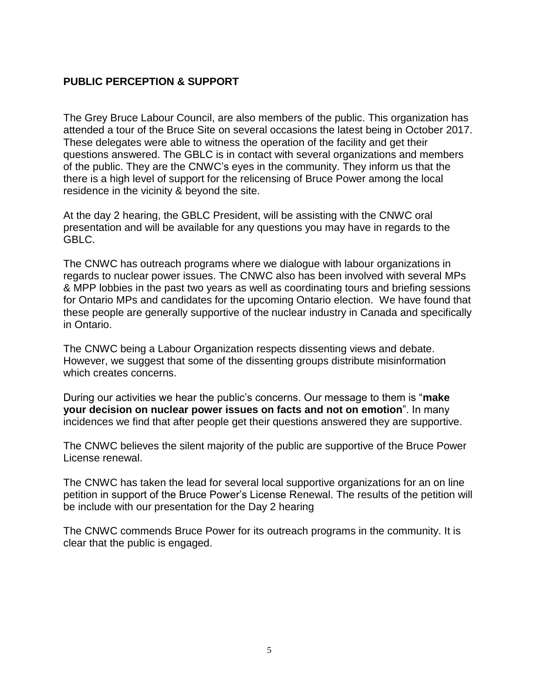#### **PUBLIC PERCEPTION & SUPPORT**

The Grey Bruce Labour Council, are also members of the public. This organization has attended a tour of the Bruce Site on several occasions the latest being in October 2017. These delegates were able to witness the operation of the facility and get their questions answered. The GBLC is in contact with several organizations and members of the public. They are the CNWC's eyes in the community. They inform us that the there is a high level of support for the relicensing of Bruce Power among the local residence in the vicinity & beyond the site.

At the day 2 hearing, the GBLC President, will be assisting with the CNWC oral presentation and will be available for any questions you may have in regards to the GBLC.

The CNWC has outreach programs where we dialogue with labour organizations in regards to nuclear power issues. The CNWC also has been involved with several MPs & MPP lobbies in the past two years as well as coordinating tours and briefing sessions for Ontario MPs and candidates for the upcoming Ontario election. We have found that these people are generally supportive of the nuclear industry in Canada and specifically in Ontario.

The CNWC being a Labour Organization respects dissenting views and debate. However, we suggest that some of the dissenting groups distribute misinformation which creates concerns.

During our activities we hear the public's concerns. Our message to them is "**make your decision on nuclear power issues on facts and not on emotion**". In many incidences we find that after people get their questions answered they are supportive.

The CNWC believes the silent majority of the public are supportive of the Bruce Power License renewal.

The CNWC has taken the lead for several local supportive organizations for an on line petition in support of the Bruce Power's License Renewal. The results of the petition will be include with our presentation for the Day 2 hearing

The CNWC commends Bruce Power for its outreach programs in the community. It is clear that the public is engaged.